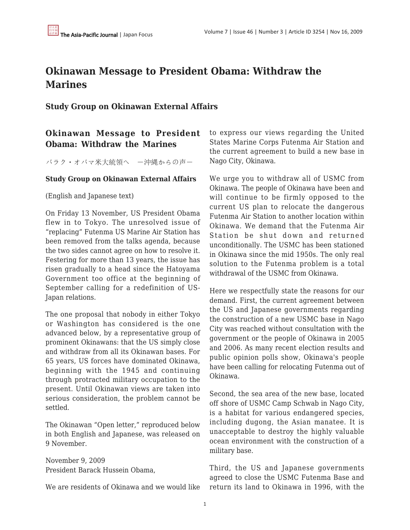## **Okinawan Message to President Obama: Withdraw the Marines**

**Study Group on Okinawan External Affairs**

## **Okinawan Message to President Obama: Withdraw the Marines**

バラク・オバマ米大統領へ ―沖縄からの声―

## **Study Group on Okinawan External Affairs**

(English and Japanese text)

On Friday 13 November, US President Obama flew in to Tokyo. The unresolved issue of "replacing" Futenma US Marine Air Station has been removed from the talks agenda, because the two sides cannot agree on how to resolve it. Festering for more than 13 years, the issue has risen gradually to a head since the Hatoyama Government too office at the beginning of September calling for a redefinition of US-Japan relations.

The one proposal that nobody in either Tokyo or Washington has considered is the one advanced below, by a representative group of prominent Okinawans: that the US simply close and withdraw from all its Okinawan bases. For 65 years, US forces have dominated Okinawa, beginning with the 1945 and continuing through protracted military occupation to the present. Until Okinawan views are taken into serious consideration, the problem cannot be settled.

The Okinawan "Open letter," reproduced below in both English and Japanese, was released on 9 November.

November 9, 2009 President Barack Hussein Obama,

We are residents of Okinawa and we would like

to express our views regarding the United States Marine Corps Futenma Air Station and the current agreement to build a new base in Nago City, Okinawa.

We urge you to withdraw all of USMC from Okinawa. The people of Okinawa have been and will continue to be firmly opposed to the current US plan to relocate the dangerous Futenma Air Station to another location within Okinawa. We demand that the Futenma Air Station be shut down and returned unconditionally. The USMC has been stationed in Okinawa since the mid 1950s. The only real solution to the Futenma problem is a total withdrawal of the USMC from Okinawa.

Here we respectfully state the reasons for our demand. First, the current agreement between the US and Japanese governments regarding the construction of a new USMC base in Nago City was reached without consultation with the government or the people of Okinawa in 2005 and 2006. As many recent election results and public opinion polls show, Okinawa's people have been calling for relocating Futenma out of Okinawa.

Second, the sea area of the new base, located off shore of USMC Camp Schwab in Nago City, is a habitat for various endangered species, including dugong, the Asian manatee. It is unacceptable to destroy the highly valuable ocean environment with the construction of a military base.

Third, the US and Japanese governments agreed to close the USMC Futenma Base and return its land to Okinawa in 1996, with the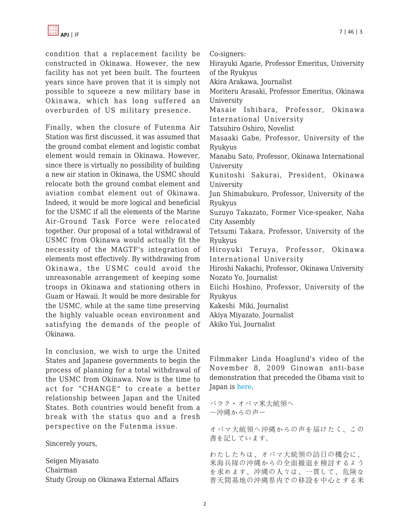condition that a replacement facility be constructed in Okinawa. However, the new facility has not yet been built. The fourteen years since have proven that it is simply not possible to squeeze a new military base in Okinawa, which has long suffered an overburden of US military presence.

Finally, when the closure of Futenma Air Station was first discussed, it was assumed that the ground combat element and logistic combat element would remain in Okinawa. However, since there is virtually no possibility of building a new air station in Okinawa, the USMC should relocate both the ground combat element and aviation combat element out of Okinawa. Indeed, it would be more logical and beneficial for the USMC if all the elements of the Marine Air-Ground Task Force were relocated together. Our proposal of a total withdrawal of USMC from Okinawa would actually fit the necessity of the MAGTF's integration of elements most effectively. By withdrawing from Okinawa, the USMC could avoid the unreasonable arrangement of keeping some troops in Okinawa and stationing others in Guam or Hawaii. It would be more desirable for the USMC, while at the same time preserving the highly valuable ocean environment and satisfying the demands of the people of Okinawa.

In conclusion, we wish to urge the United States and Japanese governments to begin the process of planning for a total withdrawal of the USMC from Okinawa. Now is the time to act for "CHANGE" to create a better relationship between Japan and the United States. Both countries would benefit from a break with the status quo and a fresh perspective on the Futenma issue.

Sincerely yours,

Seigen Miyasato Chairman Study Group on Okinawa External Affairs Co-signers:

Hirayuki Agarie, Professor Emeritus, University of the Ryukyus

Akira Arakawa, Journalist

Moriteru Arasaki, Professor Emeritus, Okinawa University

Masaie Ishihara, Professor, Okinawa International University

Tatsuhiro Oshiro, Novelist

Masaaki Gabe, Professor, University of the Ryukyus

Manabu Sato, Professor, Okinawa International University

Kunitoshi Sakurai, President, Okinawa University

Jun Shimabukuro, Professor, University of the Ryukyus

Suzuyo Takazato, Former Vice-speaker, Naha City Assembly

Tetsumi Takara, Professor, University of the Ryukyus

Hiroyuki Teruya, Professor, Okinawa International University

Hiroshi Nakachi, Professor, Okinawa University Nozato Yo, Journalist

Eiichi Hoshino, Professor, University of the Ryukyus

Kakeshi Miki, Journalist

Akiya Miyazato, Journalist

Akiko Yui, Journalist

Filmmaker Linda Hoaglund's video of the November 8, 2009 Ginowan anti-base demonstration that preceded the Obama visit to Japan is [here.](http://www.youtube.com/watch?v=D3wRDcDfMCA&feature=player_embedded)

バラク・オバマ米大統領へ ―沖縄からの声―

オバマ大統領へ沖縄からの声を届けたく、この 書を記しています。

わたしたちは、オバマ大統領の訪日の機会に、 米海兵隊の沖縄からの全面撤退を検討するよう を求めます。沖縄の人々は、一貫して、危険な 普天間基地の沖縄県内での移設を中心とする米